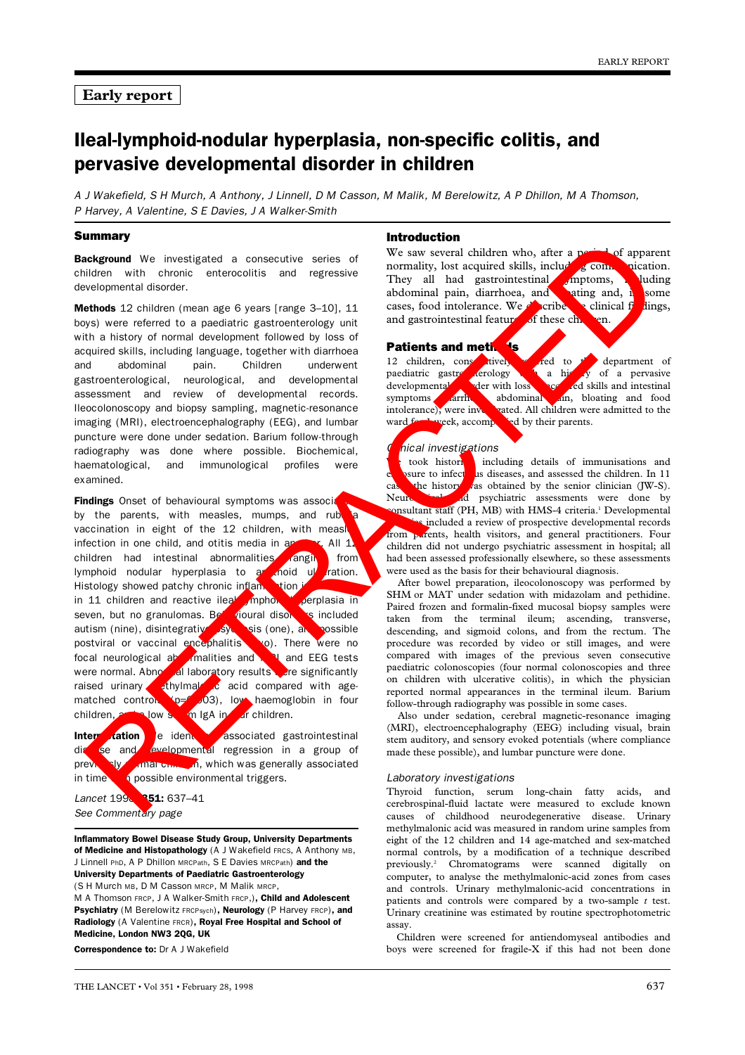# **Early report**

# Ileal-lymphoid-nodular hyperplasia, non-specific colitis, and pervasive developmental disorder in children

A J Wakefield, S H Murch, A Anthony, J Linnell, D M Casson, M Malik, M Berelowitz, A P Dhillon, M A Thomson, P Harvey, A Valentine, S E Davies, J A Walker-Smith

# **Summary**

**Background** We investigated a consecutive series of children with chronic enterocolitis and regressive developmental disorder.

Methods 12 children (mean age 6 years [range 3–10], 11 boys) were referred to a paediatric gastroenterology unit with a history of normal development followed by loss of acquired skills, including language, together with diarrhoea and abdominal pain. Children underwent gastroenterological, neurological, and developmental assessment and review of developmental records. Ileocolonoscopy and biopsy sampling, magnetic-resonance imaging (MRI), electroencephalography (EEG), and lumbar puncture were done under sedation. Barium follow-through radiography was done where possible. Biochemical, haematological, and immunological profiles were examined.

Findings Onset of behavioural symptoms was associa by the parents, with measles, mumps, and rub vaccination in eight of the  $12$  children, with meas infection in one child, and otitis media in  $\alpha$  and  $\alpha$ . All 12 children had intestinal abnormalities angly from lymphoid nodular hyperplasia to a moid ul ration. Histology showed patchy chronic inflamention in 11 children and reactive ileal mphone  $\blacksquare$  perplasia in seven, but no granulomas. Being joural disorders included autism (nine), disintegrative sychosis (one), and possible postviral or vaccinal encephalitis (top). There were no focal neurological about malities and MRI and EEG tests were normal. Abnormal laboratory results were significantly raised urinary thylmalonic acid compared with agematched controls  $\log_2 03$ ), low haemoglobin in four children, and a low service in IgA in  $\alpha$  children. the the control of the state of the state of the control of the state of the state of the state of the state of the state of the state of the state of the state of the state of the state of the state of the state of the st

Interpretation e identified associated gastrointestinal  $\frac{d}{dt}$  and  $\frac{d}{dt}$  developmental regression in a group of previously and children, which was generally associated in time  $\Box$  possible environmental triggers.

Lancet 1998<sup>3</sup>51: 637-41 See Commentary page

Inflammatory Bowel Disease Study Group, University Departments of Medicine and Histopathology (A J Wakefield FRCS, A Anthony MB, J Linnell PhD, A P Dhillon MRCPath, S E Davies MRCPath) and the University Departments of Paediatric Gastroenterology (S H Murch MB, D M Casson MRCP, M Malik MRCP, M A Thomson FRCP, J A Walker-Smith FRCP,), Child and Adolescent

Psychiatry (M Berelowitz FRCPsych), Neurology (P Harvey FRCP), and Radiology (A Valentine FRCR), Royal Free Hospital and School of Medicine, London NW3 2QG, UK

Correspondence to: Dr A J Wakefield

# Introduction

We saw several children who, after a period of apparent normality, lost acquired skills, include  $\epsilon$  communication.<br>They all had gastrointestinal mptoms, They all had gastrointestinal symptoms,  $\lambda$  uding abdominal pain, diarrhoea, and ating and,  $\frac{1}{2}$  some cases, food intolerance. We concribe the clinical findings, and gastrointestinal features of these children.

# Patients and methods

12 children,  $\cos \theta$  tively red to  $t$  department of paediatric gastround derology with a history of a pervasive developmental discrete with loss of acquired skills and intestinal symptoms  $\alpha$  arrhogen abdominal  $\alpha$ m, bloating and food intolerance), were investigated. All children were admitted to the ward for 1 week, accompanied by their parents.

#### hical investigations

took histories, including details of immunisations and sure to infect as diseases, and assessed the children. In 11 cases the history was obtained by the senior clinician  $(JW-S)$ . Neurological and psychiatric assessments were done by onsultant staff (PH, MB) with HMS-4 criteria.<sup>1</sup> Developmental s included a review of prospective developmental records from parents, health visitors, and general practitioners. Four children did not undergo psychiatric assessment in hospital; all had been assessed professionally elsewhere, so these assessments were used as the basis for their behavioural diagnosis.

After bowel preparation, ileocolonoscopy was performed by SHM or MAT under sedation with midazolam and pethidine. Paired frozen and formalin-fixed mucosal biopsy samples were taken from the terminal ileum; ascending, transverse, descending, and sigmoid colons, and from the rectum. The procedure was recorded by video or still images, and were compared with images of the previous seven consecutive paediatric colonoscopies (four normal colonoscopies and three on children with ulcerative colitis), in which the physician reported normal appearances in the terminal ileum. Barium follow-through radiography was possible in some cases.

Also under sedation, cerebral magnetic-resonance imaging (MRI), electroencephalography (EEG) including visual, brain stem auditory, and sensory evoked potentials (where compliance made these possible), and lumbar puncture were done.

# Laboratory investigations

Thyroid function, serum long-chain fatty acids, and cerebrospinal-fluid lactate were measured to exclude known causes of childhood neurodegenerative disease. Urinary methylmalonic acid was measured in random urine samples from eight of the 12 children and 14 age-matched and sex-matched normal controls, by a modification of a technique described previously.<sup>2</sup> Chromatograms were scanned digitally computer, to analyse the methylmalonic-acid zones from cases and controls. Urinary methylmalonic-acid concentrations in patients and controls were compared by a two-sample *t* test. Urinary creatinine was estimated by routine spectrophotometric assay.

Children were screened for antiendomyseal antibodies and boys were screened for fragile-X if this had not been done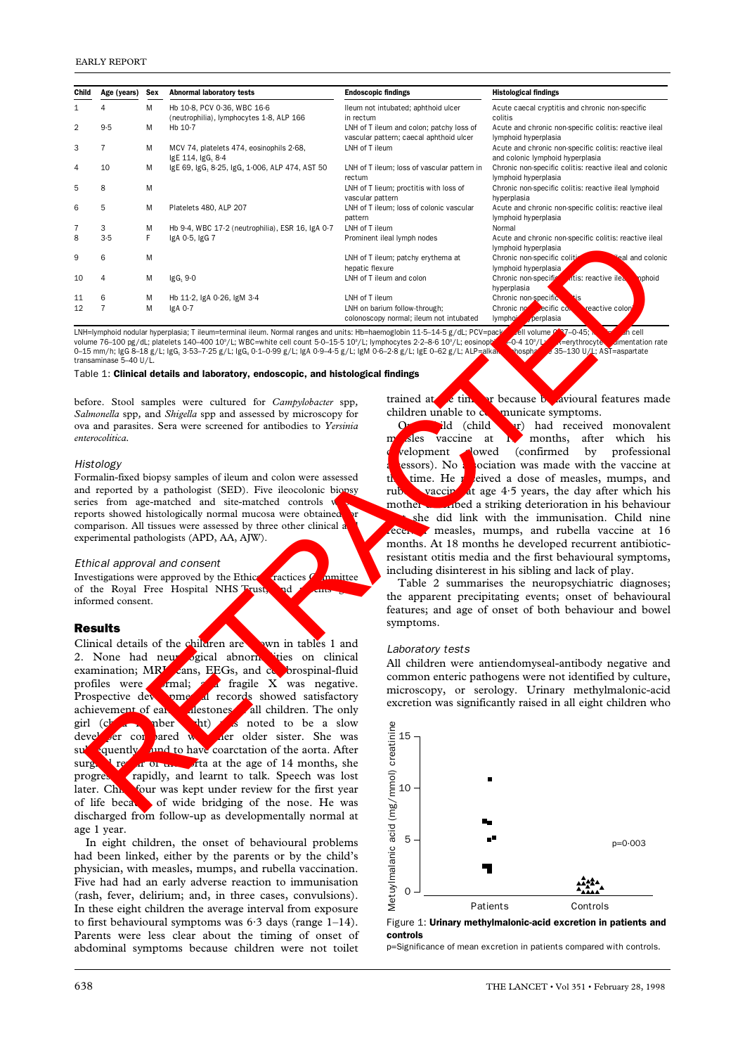| Child    | Age (years)                                             | Sex    | <b>Abnormal laboratory tests</b>                                                                                                                                                                                                                                                                                                                                                                                                                                                                                                   |                                                                                                                                                                                                                                                                                                                                                                                                                                                                                                                                                                                                                                                                                                                                                                   | <b>Endoscopic findings</b>                                |                                          | <b>Histological findings</b>                                                                                                                                                                                                                                                                           |  |  |
|----------|---------------------------------------------------------|--------|------------------------------------------------------------------------------------------------------------------------------------------------------------------------------------------------------------------------------------------------------------------------------------------------------------------------------------------------------------------------------------------------------------------------------------------------------------------------------------------------------------------------------------|-------------------------------------------------------------------------------------------------------------------------------------------------------------------------------------------------------------------------------------------------------------------------------------------------------------------------------------------------------------------------------------------------------------------------------------------------------------------------------------------------------------------------------------------------------------------------------------------------------------------------------------------------------------------------------------------------------------------------------------------------------------------|-----------------------------------------------------------|------------------------------------------|--------------------------------------------------------------------------------------------------------------------------------------------------------------------------------------------------------------------------------------------------------------------------------------------------------|--|--|
| 1        | 4                                                       | M      | Hb 10-8, PCV 0-36, WBC 16-6                                                                                                                                                                                                                                                                                                                                                                                                                                                                                                        | Ileum not intubated; aphthoid ulcer                                                                                                                                                                                                                                                                                                                                                                                                                                                                                                                                                                                                                                                                                                                               |                                                           |                                          | Acute caecal cryptitis and chronic non-specific<br>colitis<br>Acute and chronic non-specific colitis: reactive ileal<br>lymphoid hyperplasia<br>Acute and chronic non-specific colitis: reactive ileal<br>and colonic lymphoid hyperplasia<br>Chronic non-specific colitis: reactive ileal and colonic |  |  |
| 2        | 9.5                                                     | М      | (neutrophilia), lymphocytes 1.8, ALP 166<br>Hb $10-7$                                                                                                                                                                                                                                                                                                                                                                                                                                                                              | in rectum                                                                                                                                                                                                                                                                                                                                                                                                                                                                                                                                                                                                                                                                                                                                                         | LNH of T ileum and colon; patchy loss of                  |                                          |                                                                                                                                                                                                                                                                                                        |  |  |
| 3        | 7                                                       | M      | MCV 74, platelets 474, eosinophils 2.68,                                                                                                                                                                                                                                                                                                                                                                                                                                                                                           |                                                                                                                                                                                                                                                                                                                                                                                                                                                                                                                                                                                                                                                                                                                                                                   | vascular pattern; caecal aphthoid ulcer<br>LNH of T ileum |                                          |                                                                                                                                                                                                                                                                                                        |  |  |
| 4        | 10                                                      | Μ      | IgE 114, IgG, 8-4<br>IgE 69, IgG, 8-25, IgG, 1-006, ALP 474, AST 50                                                                                                                                                                                                                                                                                                                                                                                                                                                                | LNH of T ileum; loss of vascular pattern in                                                                                                                                                                                                                                                                                                                                                                                                                                                                                                                                                                                                                                                                                                                       |                                                           |                                          |                                                                                                                                                                                                                                                                                                        |  |  |
| 5        | 8                                                       | М      |                                                                                                                                                                                                                                                                                                                                                                                                                                                                                                                                    | rectum                                                                                                                                                                                                                                                                                                                                                                                                                                                                                                                                                                                                                                                                                                                                                            |                                                           | LNH of T lieum; proctitis with loss of   | lymphoid hyperplasia<br>Chronic non-specific colitis: reactive ileal lymphoid                                                                                                                                                                                                                          |  |  |
| 6        | 5                                                       | Μ      | Platelets 480, ALP 207                                                                                                                                                                                                                                                                                                                                                                                                                                                                                                             | vascular pattern                                                                                                                                                                                                                                                                                                                                                                                                                                                                                                                                                                                                                                                                                                                                                  |                                                           | LNH of T ileum; loss of colonic vascular | hyperplasia<br>Acute and chronic non-specific colitis: reactive ileal                                                                                                                                                                                                                                  |  |  |
| 7        | 3                                                       | Μ      | Hb 9-4, WBC 17-2 (neutrophilia), ESR 16, IgA 0-7                                                                                                                                                                                                                                                                                                                                                                                                                                                                                   | pattern<br>LNH of T ileum                                                                                                                                                                                                                                                                                                                                                                                                                                                                                                                                                                                                                                                                                                                                         |                                                           |                                          | lymphoid hyperplasia<br>Normal                                                                                                                                                                                                                                                                         |  |  |
| 8        | $3-5$                                                   | F      | IgA 0-5, IgG 7                                                                                                                                                                                                                                                                                                                                                                                                                                                                                                                     |                                                                                                                                                                                                                                                                                                                                                                                                                                                                                                                                                                                                                                                                                                                                                                   | Prominent ileal lymph nodes                               |                                          | Acute and chronic non-specific colitis: reactive ileal                                                                                                                                                                                                                                                 |  |  |
| 9        | 6                                                       | М      |                                                                                                                                                                                                                                                                                                                                                                                                                                                                                                                                    |                                                                                                                                                                                                                                                                                                                                                                                                                                                                                                                                                                                                                                                                                                                                                                   |                                                           | LNH of T ileum; patchy erythema at       | lymphoid hyperplasia<br>Chronic non-specific colitis<br>eal and colonic                                                                                                                                                                                                                                |  |  |
|          |                                                         |        |                                                                                                                                                                                                                                                                                                                                                                                                                                                                                                                                    | hepatic flexure                                                                                                                                                                                                                                                                                                                                                                                                                                                                                                                                                                                                                                                                                                                                                   |                                                           |                                          | lymphoid hyperplasia                                                                                                                                                                                                                                                                                   |  |  |
| 10       | 4                                                       | Μ      | $\lg G$ , 9.0                                                                                                                                                                                                                                                                                                                                                                                                                                                                                                                      |                                                                                                                                                                                                                                                                                                                                                                                                                                                                                                                                                                                                                                                                                                                                                                   | LNH of T ileum and colon                                  |                                          | Chronic non-specific<br>ntis: reactive ilea<br>pphoid<br>hyperplasia                                                                                                                                                                                                                                   |  |  |
| 11<br>12 | 6<br>$\overline{7}$                                     | M<br>M | Hb 11-2, IgA 0-26, IgM 3-4<br>IgA 0-7                                                                                                                                                                                                                                                                                                                                                                                                                                                                                              | LNH of T ileum                                                                                                                                                                                                                                                                                                                                                                                                                                                                                                                                                                                                                                                                                                                                                    | LNH on barium follow-through;                             |                                          | Chronic non-specific<br>Chronic no<br>reactive coloni<br><b>Decific con</b>                                                                                                                                                                                                                            |  |  |
|          |                                                         |        |                                                                                                                                                                                                                                                                                                                                                                                                                                                                                                                                    |                                                                                                                                                                                                                                                                                                                                                                                                                                                                                                                                                                                                                                                                                                                                                                   |                                                           | colonoscopy normal; ileum not intubated  | lymphoi<br>perplasia                                                                                                                                                                                                                                                                                   |  |  |
|          | transaminase 5-40 U/L.                                  |        | 0-15 mm/h; IgG 8-18 g/L; IgG, 3-53-7-25 g/L; IgG, 0-1-0-99 g/L; IgA 0-9-4-5 g/L; IgM 0-6-2-8 g/L; IgE 0-62 g/L; ALP=alkan<br>Table 1: Clinical details and laboratory, endoscopic, and histological findings<br>before. Stool samples were cultured for <i>Campylobacter</i> spp,                                                                                                                                                                                                                                                  |                                                                                                                                                                                                                                                                                                                                                                                                                                                                                                                                                                                                                                                                                                                                                                   |                                                           |                                          | hospha<br>$\epsilon$ 35-130 U/L; AST=aspartate<br>trained at et time or because be avioural features made                                                                                                                                                                                              |  |  |
|          |                                                         |        | Salmonella spp, and Shigella spp and assessed by microscopy for                                                                                                                                                                                                                                                                                                                                                                                                                                                                    |                                                                                                                                                                                                                                                                                                                                                                                                                                                                                                                                                                                                                                                                                                                                                                   |                                                           |                                          | children unable to $\alpha$ municate symptoms.                                                                                                                                                                                                                                                         |  |  |
|          |                                                         |        | ova and parasites. Sera were screened for antibodies to Yersinia                                                                                                                                                                                                                                                                                                                                                                                                                                                                   |                                                                                                                                                                                                                                                                                                                                                                                                                                                                                                                                                                                                                                                                                                                                                                   | O.                                                        | id (child)                               | <b>o</b> r) had received monovalent                                                                                                                                                                                                                                                                    |  |  |
|          | enterocolitica.                                         |        |                                                                                                                                                                                                                                                                                                                                                                                                                                                                                                                                    |                                                                                                                                                                                                                                                                                                                                                                                                                                                                                                                                                                                                                                                                                                                                                                   | m                                                         | sles vaccine at                          | I months,<br>after<br>which his                                                                                                                                                                                                                                                                        |  |  |
|          | Histology<br>informed consent.                          |        | Formalin-fixed biopsy samples of ileum and colon were assessed<br>and reported by a pathologist (SED). Five ileocolonic biopsy<br>series from age-matched and site-matched controls w<br>reports showed histologically normal mucosa were obtained<br>comparison. All tissues were assessed by three other clinical a<br>experimental pathologists (APD, AA, AJW).<br>Ethical approval and consent<br>Investigations were approved by the Ethic <b>Tractices</b><br>mittee<br>of the Royal Free Hospital NHS Trust,<br>٩d<br>dillo | velopment <b>o</b> lowed<br>(confirmed)<br>professiona<br>by<br>essors). No <b>b</b> ociation was made with the vaccine a<br>time. He revel a dose of measles, mumps, and<br>th,<br>vaccin at age 4.5 years, the day after which his<br>rub.<br>mother and a striking deterioration in his behaviour<br>she did link with the immunisation. Child nine<br>ece. measles, mumps, and rubella vaccine at 16<br>months. At 18 months he developed recurrent antibiotic<br>resistant otitis media and the first behavioural symptoms<br>including disinterest in his sibling and lack of play.<br>Table 2 summarises the neuropsychiatric diagnoses<br>the apparent precipitating events; onset of behavioura<br>features; and age of onset of both behaviour and bowe |                                                           |                                          |                                                                                                                                                                                                                                                                                                        |  |  |
|          | <b>Results</b>                                          |        |                                                                                                                                                                                                                                                                                                                                                                                                                                                                                                                                    |                                                                                                                                                                                                                                                                                                                                                                                                                                                                                                                                                                                                                                                                                                                                                                   | symptoms.                                                 |                                          |                                                                                                                                                                                                                                                                                                        |  |  |
|          | profiles were<br>achievement of ear.<br>girl (ch a nber |        | Clinical details of the children are swin in tables 1 and<br>2. None had neur ogical abnorm ties on clinical<br>examination; MRV cans, EEGs, and corporal-fluid<br>rmal; r ragile X was negative.<br>Prospective dev omer a records showed satisfactory<br>destones all children. The only<br>$\frac{1}{2}$ the $\frac{1}{2}$<br>s noted to be a slow                                                                                                                                                                              | Laboratory tests<br>All children were antiendomyseal-antibody negative and<br>common enteric pathogens were not identified by culture<br>microscopy, or serology. Urinary methylmalonic-acid<br>excretion was significantly raised in all eight children who                                                                                                                                                                                                                                                                                                                                                                                                                                                                                                      |                                                           |                                          |                                                                                                                                                                                                                                                                                                        |  |  |
| progres  |                                                         |        | devel er cor ared we der older sister. She was<br>sul quently and to have coarctation of the aorta. After<br>surg. The art of the age of 14 months, she<br>rapidly, and learnt to talk. Speech was lost<br>later. Chi, four was kept under review for the first year<br>of life beca. of wide bridging of the nose. He was                                                                                                                                                                                                         |                                                                                                                                                                                                                                                                                                                                                                                                                                                                                                                                                                                                                                                                                                                                                                   | ng/mmol) creatinine<br>10<br>10                           |                                          | п                                                                                                                                                                                                                                                                                                      |  |  |

#### Table 1: Clinical details and laboratory, endoscopic, and histological findings

#### Histology

#### Ethical approval and consent

# Results

Clinical details of the children are shown in tables 1 and 2. None had neur ogical abnormalities on clinical examination; MRI sans, EEGs, and cerebrospinal-fluid profiles were small; and capacity fragile X was negative. profiles were  $r$  mal;  $r$  fragile X was negative. Prospective developmental records showed satisfactory achievement of early *destones* all children. The only girl (child number that) is noted to be a slow developer compared with her older sister. She was subsequently fund to have coarctation of the aorta. After surgical repair of  $\frac{1}{4}$  or  $\frac{1}{4}$  at the age of 14 months, she progressed rapidly, and learnt to talk. Speech was lost later. Chi, four was kept under review for the first year of life because of wide bridging of the nose. He was discharged from follow-up as developmentally normal at age 1 year.

In eight children, the onset of behavioural problems had been linked, either by the parents or by the child's physician, with measles, mumps, and rubella vaccination. Five had had an early adverse reaction to immunisation (rash, fever, delirium; and, in three cases, convulsions). In these eight children the average interval from exposure to first behavioural symptoms was  $6.3$  days (range  $1-14$ ). Parents were less clear about the timing of onset of abdominal symptoms because children were not toilet

#### Laboratory tests



Figure 1: Urinary methylmalonic-acid excretion in patients and controls

p=Significance of mean excretion in patients compared with controls.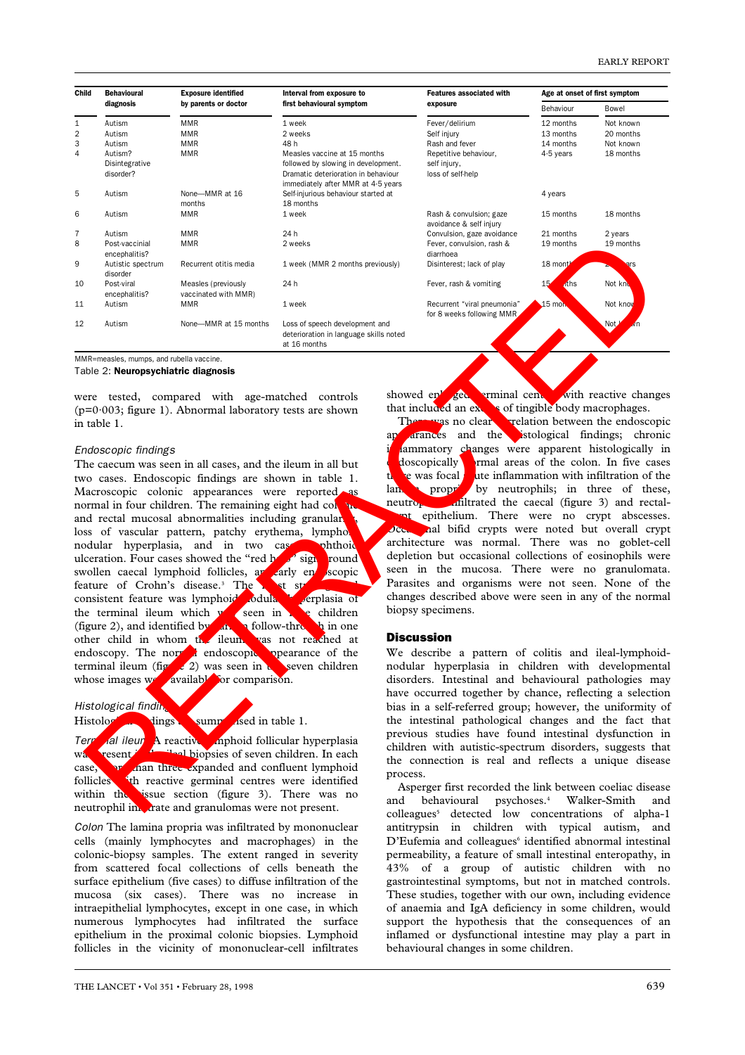| Child                                             | <b>Behavioural</b>                                                                               | <b>Exposure identified</b>                                                                                                                                                                                                                                                                                                                                                                                                                                                                                                                                                                                                                                                                                                                                                           | Interval from exposure to                                                                                                                                                     | <b>Features associated with</b>                                                                                                                                                                                                                                                                                                                                                                                                                                                                                                                                                                                                                                             |                                                  | Age at onset of first symptom                                                                                                 |  |
|---------------------------------------------------|--------------------------------------------------------------------------------------------------|--------------------------------------------------------------------------------------------------------------------------------------------------------------------------------------------------------------------------------------------------------------------------------------------------------------------------------------------------------------------------------------------------------------------------------------------------------------------------------------------------------------------------------------------------------------------------------------------------------------------------------------------------------------------------------------------------------------------------------------------------------------------------------------|-------------------------------------------------------------------------------------------------------------------------------------------------------------------------------|-----------------------------------------------------------------------------------------------------------------------------------------------------------------------------------------------------------------------------------------------------------------------------------------------------------------------------------------------------------------------------------------------------------------------------------------------------------------------------------------------------------------------------------------------------------------------------------------------------------------------------------------------------------------------------|--------------------------------------------------|-------------------------------------------------------------------------------------------------------------------------------|--|
|                                                   | diagnosis                                                                                        | by parents or doctor                                                                                                                                                                                                                                                                                                                                                                                                                                                                                                                                                                                                                                                                                                                                                                 | first behavioural symptom                                                                                                                                                     | exposure                                                                                                                                                                                                                                                                                                                                                                                                                                                                                                                                                                                                                                                                    | Behaviour                                        | Bowel                                                                                                                         |  |
| $\mathbf{1}$<br>$\overline{\mathbf{c}}$<br>3<br>4 | Autism<br>MMR<br>Autism<br>MMR<br>Autism<br>MMR<br>Autism?<br>MMR<br>Disintegrative<br>disorder? |                                                                                                                                                                                                                                                                                                                                                                                                                                                                                                                                                                                                                                                                                                                                                                                      | 1 week<br>2 weeks<br>48 h<br>Measles vaccine at 15 months<br>followed by slowing in development.<br>Dramatic deterioration in behaviour<br>immediately after MMR at 4.5 years | Fever/delirium<br>Self injury<br>Rash and fever<br>Repetitive behaviour,<br>self injury,<br>loss of self-help                                                                                                                                                                                                                                                                                                                                                                                                                                                                                                                                                               | 12 months<br>13 months<br>14 months<br>4.5 years | Not known<br>20 months<br>Not known<br>18 months                                                                              |  |
| 5                                                 | Autism                                                                                           | None-MMR at 16<br>months                                                                                                                                                                                                                                                                                                                                                                                                                                                                                                                                                                                                                                                                                                                                                             | Self-injurious behaviour started at<br>18 months                                                                                                                              |                                                                                                                                                                                                                                                                                                                                                                                                                                                                                                                                                                                                                                                                             | 4 years                                          |                                                                                                                               |  |
| 6                                                 | Autism                                                                                           | MMR                                                                                                                                                                                                                                                                                                                                                                                                                                                                                                                                                                                                                                                                                                                                                                                  | 1 week                                                                                                                                                                        | Rash & convulsion; gaze<br>avoidance & self injury                                                                                                                                                                                                                                                                                                                                                                                                                                                                                                                                                                                                                          | 15 months                                        | 18 months                                                                                                                     |  |
| 7<br>8                                            | Autism<br>Post-vaccinial<br>encephalitis?                                                        | MMR<br>MMR                                                                                                                                                                                                                                                                                                                                                                                                                                                                                                                                                                                                                                                                                                                                                                           | 24 h<br>2 weeks                                                                                                                                                               | Convulsion, gaze avoidance<br>Fever, convulsion, rash &<br>diarrhoea                                                                                                                                                                                                                                                                                                                                                                                                                                                                                                                                                                                                        | 21 months<br>19 months                           | 2 years<br>19 months                                                                                                          |  |
| 9                                                 | Autistic spectrum<br>Recurrent otitis media<br>disorder                                          |                                                                                                                                                                                                                                                                                                                                                                                                                                                                                                                                                                                                                                                                                                                                                                                      | 1 week (MMR 2 months previously)                                                                                                                                              | Disinterest; lack of play                                                                                                                                                                                                                                                                                                                                                                                                                                                                                                                                                                                                                                                   | 18 month                                         | ars                                                                                                                           |  |
| 10                                                | 24 h<br>Post-viral<br>Measles (previously<br>encephalitis?<br>vaccinated with MMR)               |                                                                                                                                                                                                                                                                                                                                                                                                                                                                                                                                                                                                                                                                                                                                                                                      |                                                                                                                                                                               | Fever, rash & vomiting                                                                                                                                                                                                                                                                                                                                                                                                                                                                                                                                                                                                                                                      | 15 <sub>1</sub><br>dhs                           | Not kno                                                                                                                       |  |
| 11                                                | Autism                                                                                           | <b>MMR</b>                                                                                                                                                                                                                                                                                                                                                                                                                                                                                                                                                                                                                                                                                                                                                                           | 1 week                                                                                                                                                                        | Recurrent "viral pneumonia"<br>for 8 weeks following MMR                                                                                                                                                                                                                                                                                                                                                                                                                                                                                                                                                                                                                    | $15 \text{ mol}$                                 | Not know                                                                                                                      |  |
| 12                                                | Autism                                                                                           | None-MMR at 15 months                                                                                                                                                                                                                                                                                                                                                                                                                                                                                                                                                                                                                                                                                                                                                                | Loss of speech development and<br>deterioration in language skills noted<br>at 16 months                                                                                      |                                                                                                                                                                                                                                                                                                                                                                                                                                                                                                                                                                                                                                                                             |                                                  | Not                                                                                                                           |  |
|                                                   | Endoscopic findings                                                                              | The caecum was seen in all cases, and the ileum in all but<br>two cases. Endoscopic findings are shown in table 1.<br>Macroscopic colonic appearances were reported as<br>normal in four children. The remaining eight had col<br>and rectal mucosal abnormalities including granular<br>loss of vascular pattern, patchy erythema, lymphol<br>nodular hyperplasia, and in two case<br>ulceration. Four cases showed the "red beginst round"<br>swollen caecal lymphoid follicles, an carly en scopic<br>feature of Crohn's disease. <sup>3</sup> The st st<br>consistent feature was lymphoid codula.<br>the terminal ileum which y seen in the children<br>(figure 2), and identified by $\mathbf{A}$ of follow-through in one<br>other child in whom the ileum vas not reached at | ohthoid<br>erplasia of                                                                                                                                                        | arances and the stological findings; chronic<br>lammatory changes were apparent histologically in<br>doscopically rmal areas of the colon. In five cases<br>the ve was focal<br>lan propr<br>neutro <sub>p</sub><br>sot epithelium. There were no crypt abscesses.<br>Jec. hal bifid crypts were noted but overall crypt<br>architecture was normal. There was no goblet-cell<br>depletion but occasional collections of eosinophils were<br>seen in the mucosa. There were no granulomata.<br>Parasites and organisms were not seen. None of the<br>changes described above were seen in any of the normal<br>biopsy specimens.<br><b>Discussion</b>                       |                                                  | ute inflammation with infiltration of the<br>by neutrophils; in three of these,<br>inducted the caecal (figure 3) and rectal- |  |
|                                                   | Histological finding<br>Histolog                                                                 | endoscopy. The normal endoscopic operance of the<br>terminal ileum (fig. $\sqrt{2}$ ) was seen in $\sqrt{2}$ seven children<br>whose images $w_{\ell}$ available for comparison.<br>dings summ sed in table 1.<br>Terr al ileur A reactive inphoid follicular hyperplasia<br>war resent <sup>the thoul biopsies of seven children. In each</sup><br>case, when three expanded and confluent lymphoid<br>follicles th reactive germinal centres were identified<br>within the issue section (figure 3). There was no<br>neutrophil in <i>t</i> rate and granulomas were not present.                                                                                                                                                                                                  | and                                                                                                                                                                           | We describe a pattern of colitis and ileal-lymphoid-<br>nodular hyperplasia in children with developmental<br>disorders. Intestinal and behavioural pathologies may<br>have occurred together by chance, reflecting a selection<br>bias in a self-referred group; however, the uniformity of<br>the intestinal pathological changes and the fact that<br>previous studies have found intestinal dysfunction in<br>children with autistic-spectrum disorders, suggests that<br>the connection is real and reflects a unique disease<br>process.<br>Asperger first recorded the link between coeliac disease<br>behavioural<br>psychoses. <sup>4</sup><br>Walker-Smith<br>and |                                                  |                                                                                                                               |  |

# Endoscopic findings

# Histological finding

# Histological dings summarised in table 1.

Colon The lamina propria was infiltrated by mononuclear cells (mainly lymphocytes and macrophages) in the colonic-biopsy samples. The extent ranged in severity from scattered focal collections of cells beneath the surface epithelium (five cases) to diffuse infiltration of the mucosa (six cases). There was no increase in intraepithelial lymphocytes, except in one case, in which numerous lymphocytes had infiltrated the surface epithelium in the proximal colonic biopsies. Lymphoid follicles in the vicinity of mononuclear-cell infiltrates

# **Discussion**

Asperger first recorded the link between coeliac disease and behavioural psychoses.4 Walker-Smith and colleagues<sup>5</sup> detected low concentrations of alpha-1 antitrypsin in children with typical autism, and D'Eufemia and colleagues<sup>6</sup> identified abnormal intestinal permeability, a feature of small intestinal enteropathy, in 43% of a group of autistic children with no gastrointestinal symptoms, but not in matched controls. These studies, together with our own, including evidence of anaemia and IgA deficiency in some children, would support the hypothesis that the consequences of an inflamed or dysfunctional intestine may play a part in behavioural changes in some children.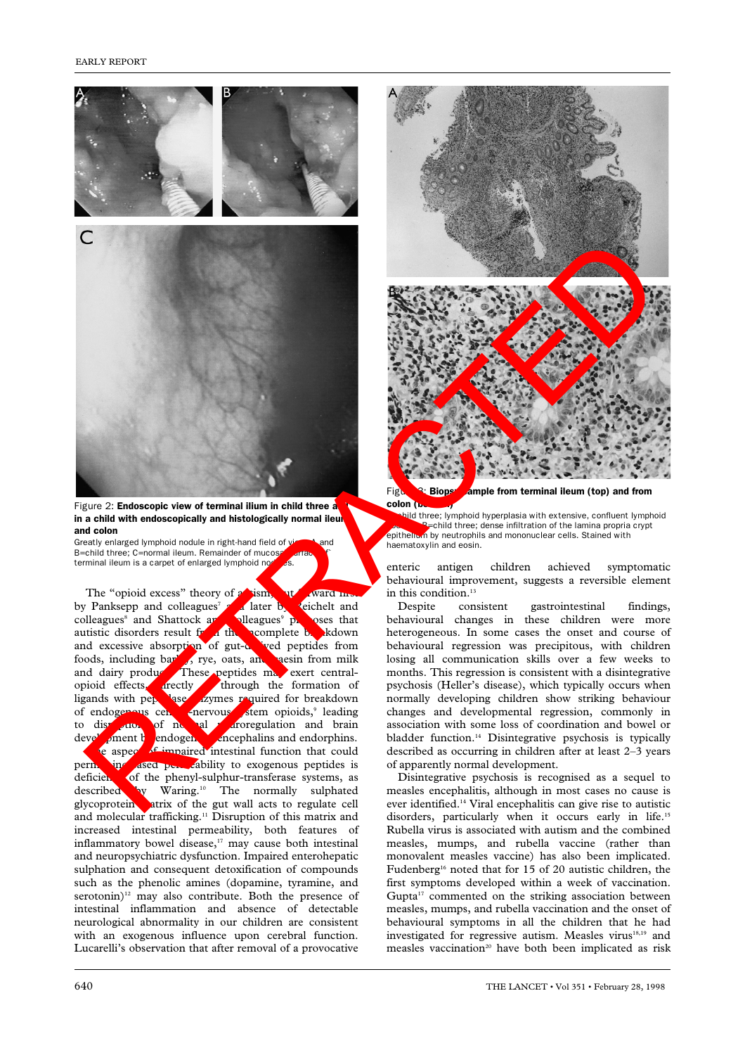

Figure 2: Endoscopic view of terminal ilium in child three  $a$ in a child with endoscopically and histologically normal ileur and colon

Greatly enlarged lymphoid nodule in right-hand field of view. And B=child three: C=normal ileum. Remainder of mucosal terminal ileum is a carpet of enlarged lymphoid no

The "opioid excess" theory of a  $\sin \theta$  the ward mass  $\theta$  and colleagues<sup>7</sup> and later by eichelt and by Panksepp and colleagues<sup>7</sup> and later by Reichelt and Shattock and Shattock and Shattock and Reichelt and Reichelt and Reichelt and Reichelt and Reichelt and Reichelt and Reichelt and Reichelt and Reichelt and Reichelt a colleagues<sup>8</sup> and Shattock and colleagues<sup>9</sup> proposes that autistic disorders result from the complete breakdown and excessive absorption of gut-derived peptides from foods, including bar<sup>l</sup>, rye, oats, and easin from milk and dairy produce. These peptides may exert centralopioid effects, drectly through the formation of ligands with peptidase explores required for breakdown of endogenous central-nervous-stem opioids,<sup>9</sup> leading to disration of no all proregulation and brain development b endogen neuroregulation and endorphins. development by endogenous encephalins and endorphins. **C** aspect of impaired intestinal function that could permit inclused permeability to exogenous peptides is deficient of the phenyl-sulphur-transferase systems, as described by Waring.10 The normally sulphated glycoprotein atrix of the gut wall acts to regulate cell and molecular trafficking.<sup>11</sup> Disruption of this matrix and increased intestinal permeability, both features of inflammatory bowel disease,<sup>17</sup> may cause both intestinal and neuropsychiatric dysfunction. Impaired enterohepatic sulphation and consequent detoxification of compounds such as the phenolic amines (dopamine, tyramine, and serotonin)<sup>12</sup> may also contribute. Both the presence of intestinal inflammation and absence of detectable neurological abnormality in our children are consistent with an exogenous influence upon cerebral function. Lucarelli's observation that after removal of a provocative



Figure 3: Biopsy sample from terminal ileum (top) and from colon b

**Nild three; lymphoid hyperplasia with extensive, confluent lymphoid**  $n =$ child three; dense infiltration of the lamina propria crypt epithelium by neutrophils and mononuclear cells. Stained with haematoxylin and eosin.

enteric antigen children achieved symptomatic behavioural improvement, suggests a reversible element in this condition.<sup>13</sup>

Despite consistent gastrointestinal findings, behavioural changes in these children were more heterogeneous. In some cases the onset and course of behavioural regression was precipitous, with children losing all communication skills over a few weeks to months. This regression is consistent with a disintegrative psychosis (Heller's disease), which typically occurs when normally developing children show striking behaviour changes and developmental regression, commonly in association with some loss of coordination and bowel or bladder function.14 Disintegrative psychosis is typically described as occurring in children after at least 2–3 years of apparently normal development.

Disintegrative psychosis is recognised as a sequel to measles encephalitis, although in most cases no cause is ever identified.14 Viral encephalitis can give rise to autistic disorders, particularly when it occurs early in life.15 Rubella virus is associated with autism and the combined measles, mumps, and rubella vaccine (rather than monovalent measles vaccine) has also been implicated. Fudenberg<sup>16</sup> noted that for 15 of 20 autistic children, the first symptoms developed within a week of vaccination. Gupta<sup>17</sup> commented on the striking association between measles, mumps, and rubella vaccination and the onset of behavioural symptoms in all the children that he had investigated for regressive autism. Measles virus<sup>18,19</sup> and measles vaccination<sup>20</sup> have both been implicated as risk